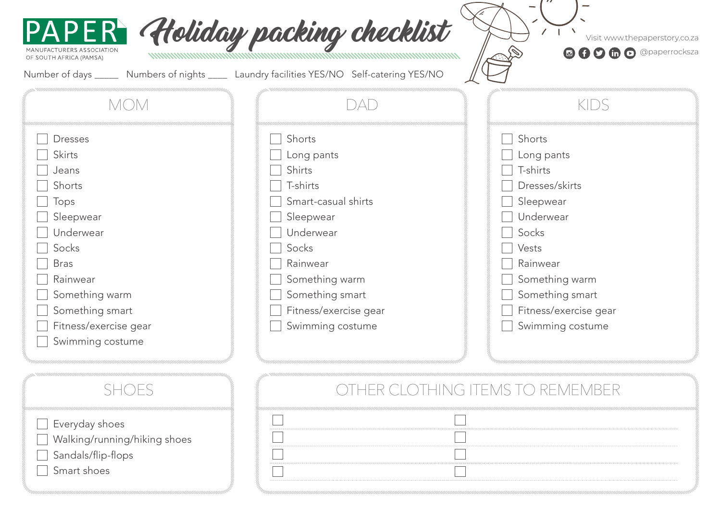| 1ANUFACTURERS ASSOCIATION<br>OF SOUTH AFRICA (PAMSA)<br>Number of days ______                                                                                                                              | PAPER Holiday packing checklist<br>Numbers of nights _____ Laundry facilities YES/NO Self-catering YES/NO                                                                                                 | Visit www.thepaperstory.co.za<br><b>O O O O O Opaperrocksza</b>                                                                                                                              |
|------------------------------------------------------------------------------------------------------------------------------------------------------------------------------------------------------------|-----------------------------------------------------------------------------------------------------------------------------------------------------------------------------------------------------------|----------------------------------------------------------------------------------------------------------------------------------------------------------------------------------------------|
| <b>MOM</b>                                                                                                                                                                                                 | DAD                                                                                                                                                                                                       | KIDS                                                                                                                                                                                         |
| <b>Dresses</b><br><b>Skirts</b><br>Jeans<br>Shorts<br>Tops<br>Sleepwear<br>Underwear<br>Socks<br><b>Bras</b><br>Rainwear<br>Something warm<br>Something smart<br>Fitness/exercise gear<br>Swimming costume | Shorts<br>Long pants<br><b>Shirts</b><br>T-shirts<br>Smart-casual shirts<br>Sleepwear<br>Underwear<br>Socks<br>Rainwear<br>Something warm<br>Something smart<br>Fitness/exercise gear<br>Swimming costume | Shorts<br>Long pants<br>T-shirts<br>Dresses/skirts<br>Sleepwear<br>Underwear<br>Socks<br>Vests<br>Rainwear<br>Something warm<br>Something smart<br>Fitness/exercise gear<br>Swimming costume |

 $\begin{tabular}{|c|c|} \hline \quad \quad & \quad \quad & \quad \quad \\ \hline \quad \quad & \quad \quad & \quad \quad \\ \hline \quad \quad & \quad \quad & \quad \quad \\ \hline \quad \quad & \quad \quad & \quad \quad \\ \hline \end{tabular}$ 

| $\Box$ Everyday shoes        |
|------------------------------|
| Walking/running/hiking shoes |
| Sandals/flip-flops           |
| Smart shoes                  |

## SHOES **SHOES SHOES**

 $\mathbb{R}^n$  $\Box$  $\Box$ 

 $\Box$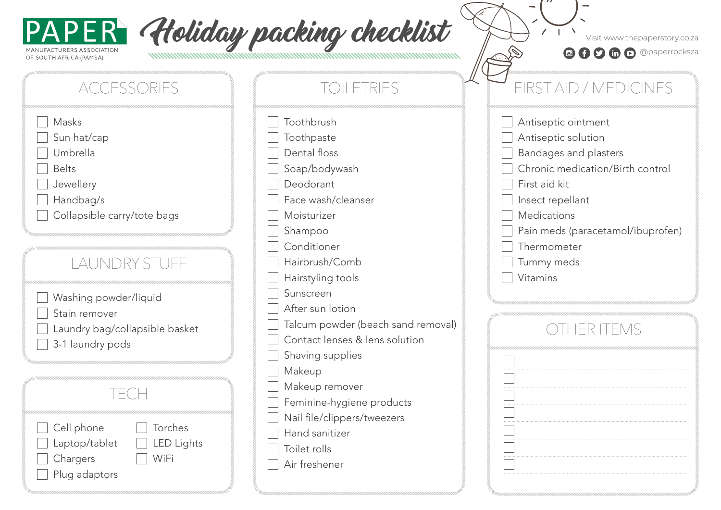

| Holiday packing checklist | Visit www.thepaperstory.co.za                 |
|---------------------------|-----------------------------------------------|
|                           | <b>a</b> A <b>D</b> in a <b>Opaperrocksza</b> |

 $\mathbb{R}^{N}$ 

|  |  |  |  |  | $\mathbf{D}$ $\mathbf{D}$ $\mathbf{D}$ $\mathbf{D}$ @paperrocksza |
|--|--|--|--|--|-------------------------------------------------------------------|
|--|--|--|--|--|-------------------------------------------------------------------|

| <b>ACCESSORIES</b>                                                                                        |  |
|-----------------------------------------------------------------------------------------------------------|--|
| Masks<br>Sun hat/cap<br>Umbrella<br><b>Belts</b><br>Jewellery<br>Handbag/s<br>Collapsible carry/tote bags |  |
| LAUNDRY STUFF                                                                                             |  |
| Washing powder/liquid<br>Stain remover<br>Laundry bag/collapsible basket<br>3-1 laundry pods              |  |
| TECH                                                                                                      |  |
| Torches<br>Cell phone<br><b>LED Lights</b><br>Laptop/tablet<br>Chargers<br>WiFi<br>Plug adaptors          |  |

| TOILETRIES                         |  |
|------------------------------------|--|
| Toothbrush                         |  |
| Toothpaste                         |  |
| Dental floss                       |  |
| Soap/bodywash                      |  |
| Deodorant                          |  |
| Face wash/cleanser                 |  |
| Moisturizer                        |  |
| Shampoo                            |  |
| Conditioner                        |  |
| Hairbrush/Comb                     |  |
| Hairstyling tools                  |  |
| Sunscreen                          |  |
| After sun lotion                   |  |
| Talcum powder (beach sand removal) |  |
| Contact lenses & lens solution     |  |
| Shaving supplies                   |  |
| Makeup                             |  |
| Makeup remover                     |  |
| Feminine-hygiene products          |  |
| Nail file/clippers/tweezers        |  |
| Hand sanitizer                     |  |
| Toilet rolls                       |  |
| Air freshener                      |  |
|                                    |  |

## FIRST AID / MEDICINES

| Antiseptic ointment               |
|-----------------------------------|
| Antiseptic solution               |
| Bandages and plasters             |
| Chronic medication/Birth control  |
| First aid kit                     |
| Insect repellant                  |
| Medications                       |
| Pain meds (paracetamol/ibuprofen) |
| Thermometer                       |
| Tummy meds                        |
| Vitamins                          |
|                                   |
|                                   |
|                                   |
|                                   |

| . |
|---|
|   |
|   |
|   |
| . |
|   |
| . |
|   |
|   |
|   |
| . |
|   |
|   |
|   |
|   |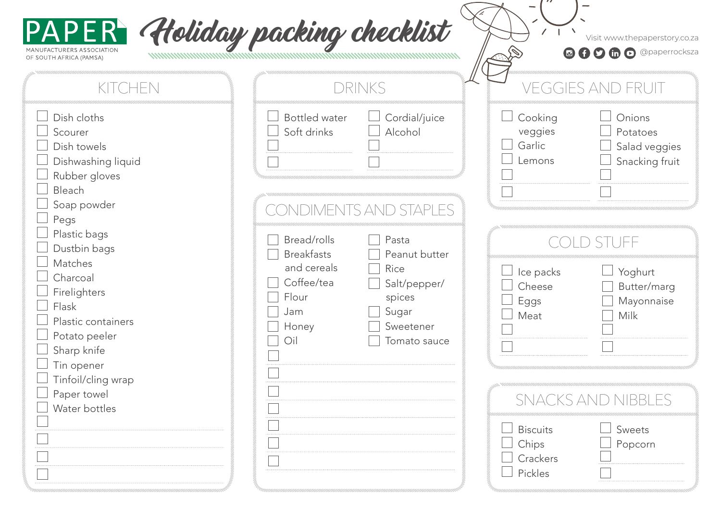

| NUFACTURERS ASSOCIATION<br>SOUTH AFRICA (PAMSA)                                                                             | PAPER Holiday packing checklist                                                                                                   | Visit www.thepaperstory.co.za<br>© + 0 to @ @ paperrocksza                                      |
|-----------------------------------------------------------------------------------------------------------------------------|-----------------------------------------------------------------------------------------------------------------------------------|-------------------------------------------------------------------------------------------------|
| KITCHEN                                                                                                                     | DRINKS                                                                                                                            | VEGGIES AND FRUIT                                                                               |
| Dish cloths<br>Scourer<br>Dish towels<br>Dishwashing liquid<br>Rubber gloves<br>Bleach                                      | <b>Bottled</b> water<br>Cordial/juice<br>Soft drinks<br>Alcohol                                                                   | Onions<br>Cooking<br>veggies<br>Potatoes<br>Garlic<br>Salad veggies<br>Snacking fruit<br>Lemons |
| Soap powder<br>Pegs<br>Plastic bags<br>Dustbin bags<br>Matches                                                              | CONDIMENTS AND STAPLES<br>Bread/rolls<br>Pasta<br><b>Breakfasts</b><br>Peanut butter                                              | TUEE                                                                                            |
| Charcoal<br>Firelighters<br>Flask<br>Plastic containers<br>Potato peeler<br>Sharp knife<br>Tin opener<br>Tinfoil/cling wrap | and cereals<br>Rice<br>Coffee/tea<br>Salt/pepper/<br>Flour<br>spices<br>Jam<br>Sugar<br>Honey<br>Sweetener<br>Oil<br>Tomato sauce | Yoghurt<br>Ice packs<br>Cheese<br>Butter/marg<br>Mayonnaise<br>Eggs<br>Meat<br><b>Milk</b>      |
| Paper towel<br>Water bottles                                                                                                |                                                                                                                                   | <b>SNACKS AND NIBBLES</b>                                                                       |
|                                                                                                                             |                                                                                                                                   | Sweets<br><b>Biscuits</b><br>Popcorn<br>Chips<br>Crackers<br>Pickles                            |